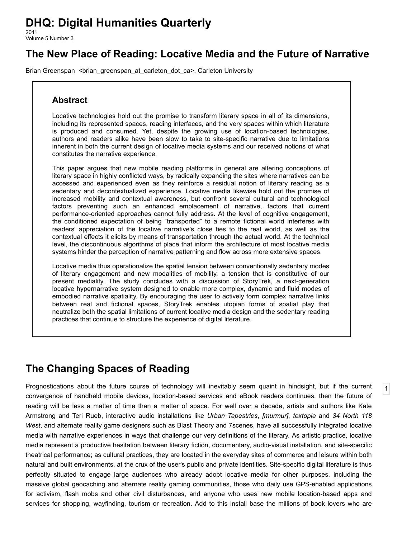# **DHQ: Digital Humanities Quarterly**

2011 Volume 5 Number 3

## **The New Place of Reading: Locative Media and the Future of Narrative**

[Brian Greenspan](http://www.digitalhumanities.org/dhq/vol/5/3/bios.html#greenspan_brian) <br/>hrian\_greenspan\_at\_carleton\_dot\_ca>, Carleton University

#### **Abstract**

Locative technologies hold out the promise to transform literary space in all of its dimensions, including its represented spaces, reading interfaces, and the very spaces within which literature is produced and consumed. Yet, despite the growing use of location-based technologies, authors and readers alike have been slow to take to site-specific narrative due to limitations inherent in both the current design of locative media systems and our received notions of what constitutes the narrative experience.

This paper argues that new mobile reading platforms in general are altering conceptions of literary space in highly conflicted ways, by radically expanding the sites where narratives can be accessed and experienced even as they reinforce a residual notion of literary reading as a sedentary and decontextualized experience. Locative media likewise hold out the promise of increased mobility and contextual awareness, but confront several cultural and technological factors preventing such an enhanced emplacement of narrative, factors that current performance-oriented approaches cannot fully address. At the level of cognitive engagement, the conditioned expectation of being "transported" to a remote fictional world interferes with readers' appreciation of the locative narrative's close ties to the real world, as well as the contextual effects it elicits by means of transportation through the actual world. At the technical level, the discontinuous algorithms of place that inform the architecture of most locative media systems hinder the perception of narrative patterning and flow across more extensive spaces.

Locative media thus operationalize the spatial tension between conventionally sedentary modes of literary engagement and new modalities of mobility, a tension that is constitutive of our present mediality. The study concludes with a discussion of StoryTrek, a next-generation locative hypernarrative system designed to enable more complex, dynamic and fluid modes of embodied narrative spatiality. By encouraging the user to actively form complex narrative links between real and fictional spaces, StoryTrek enables utopian forms of spatial play that neutralize both the spatial limitations of current locative media design and the sedentary reading practices that continue to structure the experience of digital literature.

## **The Changing Spaces of Reading**

<span id="page-0-0"></span>Prognostications about the future course of technology will inevitably seem quaint in hindsight, but if the current convergence of handheld mobile devices, location-based services and eBook readers continues, then the future of reading will be less a matter of time than a matter of space. For well over a decade, artists and authors like Kate Armstrong and Teri Rueb, interactive audio installations like *[Urban Tapestries](#page-13-0)*, *[\[murmur\]](#page-13-1)*, *[textopia](#page-13-2)* and *34 North 118 West*[, and alternate reality game designers such as Blast Theory and 7scenes, have all successfully integrated locative](#page-13-3) media with narrative experiences in ways that challenge our very definitions of the literary. As artistic practice, locative media represent a productive hesitation between literary fiction, documentary, audio-visual installation, and site-specific theatrical performance; as cultural practices, they are located in the everyday sites of commerce and leisure within both natural and built environments, at the crux of the user's public and private identities. Site-specific digital literature is thus perfectly situated to engage large audiences who already adopt locative media for other purposes, including the massive global geocaching and alternate reality gaming communities, those who daily use GPS-enabled applications for activism, flash mobs and other civil disturbances, and anyone who uses new mobile location-based apps and services for shopping, wayfinding, tourism or recreation. Add to this install base the millions of book lovers who are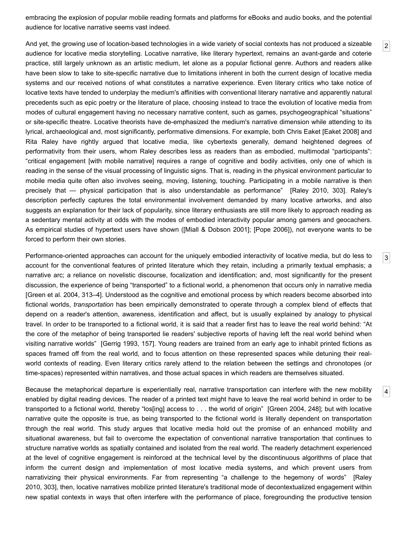embracing the explosion of popular mobile reading formats and platforms for eBooks and audio books, and the potential audience for locative narrative seems vast indeed.

[2](#page-1-0)

[3](#page-1-1)

[4](#page-1-2)

<span id="page-1-0"></span>And yet, the growing use of location-based technologies in a wide variety of social contexts has not produced a sizeable audience for locative media storytelling. Locative narrative, like literary hypertext, remains an avant-garde and coterie practice, still largely unknown as an artistic medium, let alone as a popular fictional genre. Authors and readers alike have been slow to take to site-specific narrative due to limitations inherent in both the current design of locative media systems and our received notions of what constitutes a narrative experience. Even literary critics who take notice of locative texts have tended to underplay the medium's affinities with conventional literary narrative and apparently natural precedents such as epic poetry or the literature of place, choosing instead to trace the evolution of locative media from modes of cultural engagement having no necessary narrative content, such as games, psychogeographical "situations" or site-specific theatre. Locative theorists have de-emphasized the medium's narrative dimension while attending to its lyrical, archaeological and, most significantly, performative dimensions. For example, both Chris Eaket [\[Eaket 2008\]](#page-12-0) and Rita Raley have rightly argued that locative media, like cybertexts generally, demand heightened degrees of performativity from their users, whom Raley describes less as readers than as embodied, multimodal "participants": "critical engagement [with mobile narrative] requires a range of cognitive and bodily activities, only one of which is reading in the sense of the visual processing of linguistic signs. That is, reading in the physical environment particular to mobile media quite often also involves seeing, moving, listening, touching. Participating in a mobile narrative is then precisely that — physical participation that is also understandable as performance" [[Raley 2010](#page-13-4), 303]. Raley's description perfectly captures the total environmental involvement demanded by many locative artworks, and also suggests an explanation for their lack of popularity, since literary enthusiasts are still more likely to approach reading as a sedentary mental activity at odds with the modes of embodied interactivity popular among gamers and geocachers. As empirical studies of hypertext users have shown ([[Miall & Dobson 2001\]](#page-13-5); [\[Pope 2006\]](#page-13-6)), not everyone wants to be forced to perform their own stories.

<span id="page-1-1"></span>Performance-oriented approaches can account for the uniquely embodied interactivity of locative media, but do less to account for the conventional features of printed literature which they retain, including a primarily textual emphasis; a narrative arc; a reliance on novelistic discourse, focalization and identification; and, most significantly for the present discussion, the experience of being "transported" to a fictional world, a phenomenon that occurs only in narrative media [\[Green et al. 2004,](#page-13-7) 313–4]. Understood as the cognitive and emotional process by which readers become absorbed into fictional worlds, *transportation* has been empirically demonstrated to operate through a complex blend of effects that depend on a reader's attention, awareness, identification and affect, but is usually explained by analogy to physical travel. In order to be transported to a fictional world, it is said that a reader first has to leave the real world behind: "At the core of the metaphor of being transported lie readers' subjective reports of having left the real world behind when visiting narrative worlds" [\[Gerrig 1993](#page-12-1), 157]. Young readers are trained from an early age to inhabit printed fictions as spaces framed off from the real world, and to focus attention on these represented spaces while detuning their realworld contexts of reading. Even literary critics rarely attend to the relation between the settings and chronotopes (or time-spaces) represented within narratives, and those actual spaces in which readers are themselves situated.

<span id="page-1-2"></span>Because the metaphorical departure is experientially real, narrative transportation can interfere with the new mobility enabled by digital reading devices. The reader of a printed text might have to leave the real world behind in order to be transported to a fictional world, thereby "los[ing] access to . . . the world of origin" [[Green 2004,](#page-12-2) 248]; but with locative narrative quite the opposite is true, as being transported to the fictional world is literally dependent on transportation through the real world. This study argues that locative media hold out the promise of an enhanced mobility and situational awareness, but fail to overcome the expectation of conventional narrative transportation that continues to structure narrative worlds as spatially contained and isolated from the real world. The readerly detachment experienced at the level of cognitive engagement is reinforced at the technical level by the discontinuous algorithms of place that inform the current design and implementation of most locative media systems, and which prevent users from [narrativizing their physical environments. Far from representing "a challenge to the hegemony of words" \[Raley](#page-13-4) 2010, 303], then, locative narratives mobilize printed literature's traditional mode of decontextualized engagement within new spatial contexts in ways that often interfere with the performance of place, foregrounding the productive tension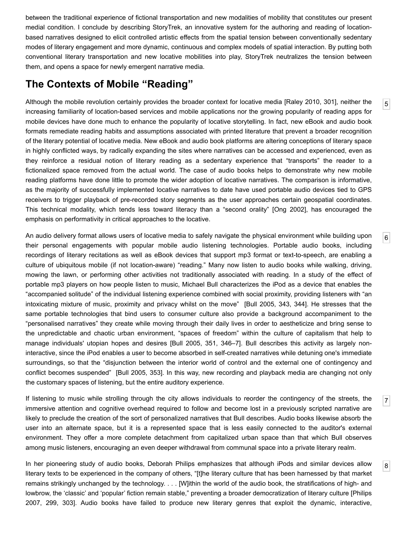between the traditional experience of fictional transportation and new modalities of mobility that constitutes our present medial condition. I conclude by describing StoryTrek, an innovative system for the authoring and reading of locationbased narratives designed to elicit controlled artistic effects from the spatial tension between conventionally sedentary modes of literary engagement and more dynamic, continuous and complex models of spatial interaction. By putting both conventional literary transportation and new locative mobilities into play, StoryTrek neutralizes the tension between them, and opens a space for newly emergent narrative media.

#### **The Contexts of Mobile "Reading"**

<span id="page-2-0"></span>Although the mobile revolution certainly provides the broader context for locative media [\[Raley 2010,](#page-13-4) 301], neither the increasing familiarity of location-based services and mobile applications nor the growing popularity of reading apps for mobile devices have done much to enhance the popularity of locative storytelling. In fact, new eBook and audio book formats remediate reading habits and assumptions associated with printed literature that prevent a broader recognition of the literary potential of locative media. New eBook and audio book platforms are altering conceptions of literary space in highly conflicted ways, by radically expanding the sites where narratives can be accessed and experienced, even as they reinforce a residual notion of literary reading as a sedentary experience that "transports" the reader to a fictionalized space removed from the actual world. The case of audio books helps to demonstrate why new mobile reading platforms have done little to promote the wider adoption of locative narratives. The comparison is informative, as the majority of successfully implemented locative narratives to date have used portable audio devices tied to GPS receivers to trigger playback of pre-recorded story segments as the user approaches certain geospatial coordinates. This technical modality, which tends less toward literacy than a "second orality" [[Ong 2002](#page-13-8)], has encouraged the emphasis on performativity in critical approaches to the locative.

[5](#page-2-0)

[6](#page-2-1)

[7](#page-2-2)

[8](#page-2-3)

<span id="page-2-1"></span>An audio delivery format allows users of locative media to safely navigate the physical environment while building upon their personal engagements with popular mobile audio listening technologies. Portable audio books, including recordings of literary recitations as well as eBook devices that support mp3 format or text-to-speech, are enabling a culture of ubiquitous mobile (if not location-aware) "reading." Many now listen to audio books while walking, driving, mowing the lawn, or performing other activities not traditionally associated with reading. In a study of the effect of portable mp3 players on how people listen to music, Michael Bull characterizes the iPod as a device that enables the "accompanied solitude" of the individual listening experience combined with social proximity, providing listeners with "an intoxicating mixture of music, proximity and privacy whilst on the move" [\[Bull 2005,](#page-12-3) 343, 344]. He stresses that the same portable technologies that bind users to consumer culture also provide a background accompaniment to the "personalised narratives" they create while moving through their daily lives in order to aestheticize and bring sense to the unpredictable and chaotic urban environment, "spaces of freedom" within the culture of capitalism that help to manage individuals' utopian hopes and desires [\[Bull 2005,](#page-12-3) 351, 346–7]. Bull describes this activity as largely noninteractive, since the iPod enables a user to become absorbed in self-created narratives while detuning one's immediate surroundings, so that the "disjunction between the interior world of control and the external one of contingency and conflict becomes suspended" [\[Bull 2005](#page-12-3), 353]. In this way, new recording and playback media are changing not only the customary spaces of listening, but the entire auditory experience.

<span id="page-2-2"></span>If listening to music while strolling through the city allows individuals to reorder the contingency of the streets, the immersive attention and cognitive overhead required to follow and become lost in a previously scripted narrative are likely to preclude the creation of the sort of personalized narratives that Bull describes. Audio books likewise absorb the user into an alternate space, but it is a represented space that is less easily connected to the auditor's external environment. They offer a more complete detachment from capitalized urban space than that which Bull observes among music listeners, encouraging an even deeper withdrawal from communal space into a private literary realm.

<span id="page-2-3"></span>In her pioneering study of audio books, Deborah Philips emphasizes that although iPods and similar devices allow literary texts to be experienced in the company of others, "[t]he literary culture that has been harnessed by that market remains strikingly unchanged by the technology. . . . [W]ithin the world of the audio book, the stratifications of high- and [lowbrow, the 'classic' and 'popular' fiction remain stable," preventing a broader democratization of literary culture \[Philips](#page-13-9) 2007, 299, 303]. Audio books have failed to produce new literary genres that exploit the dynamic, interactive,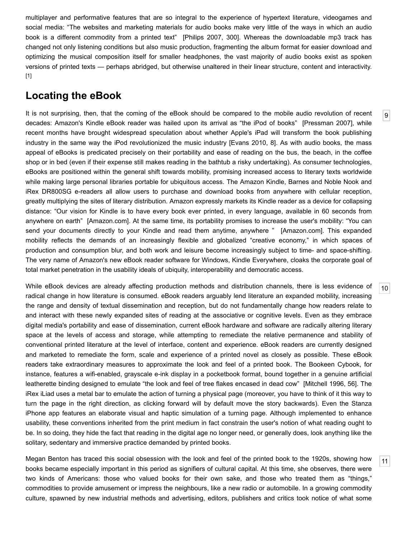multiplayer and performative features that are so integral to the experience of hypertext literature, videogames and social media: "The websites and marketing materials for audio books make very little of the ways in which an audio book is a different commodity from a printed text" [[Philips 2007](#page-13-9), 300]. Whereas the downloadable mp3 track has changed not only listening conditions but also music production, fragmenting the album format for easier download and optimizing the musical composition itself for smaller headphones, the vast majority of audio books exist as spoken versions of printed texts — perhaps abridged, but otherwise unaltered in their linear structure, content and interactivity. [\[1\]](#page-12-4)

### **Locating the eBook**

<span id="page-3-0"></span>It is not surprising, then, that the coming of the eBook should be compared to the mobile audio revolution of recent decades: Amazon's Kindle eBook reader was hailed upon its arrival as "the iPod of books" [[Pressman 2007](#page-13-10)], while recent months have brought widespread speculation about whether Apple's iPad will transform the book publishing industry in the same way the iPod revolutionized the music industry [\[Evans 2010,](#page-12-5) 8]. As with audio books, the mass appeal of eBooks is predicated precisely on their portability and ease of reading on the bus, the beach, in the coffee shop or in bed (even if their expense still makes reading in the bathtub a risky undertaking). As consumer technologies, eBooks are positioned within the general shift towards mobility, promising increased access to literary texts worldwide while making large personal libraries portable for ubiquitous access. The Amazon Kindle, Barnes and Noble Nook and iRex DR800SG e-readers all allow users to purchase and download books from anywhere with cellular reception, greatly multiplying the sites of literary distribution. Amazon expressly markets its Kindle reader as a device for collapsing distance: "Our vision for Kindle is to have every book ever printed, in every language, available in 60 seconds from anywhere on earth" [[Amazon.com\]](#page-12-6). At the same time, its portability promises to increase the user's mobility: "You can send your documents directly to your Kindle and read them anytime, anywhere " [\[Amazon.com](#page-12-6)]. This expanded mobility reflects the demands of an increasingly flexible and globalized "creative economy," in which spaces of production and consumption blur, and both work and leisure become increasingly subject to time- and space-shifting. The very name of Amazon's new eBook reader software for Windows, Kindle Everywhere, cloaks the corporate goal of total market penetration in the usability ideals of ubiquity, interoperability and democratic access.

<span id="page-3-1"></span>While eBook devices are already affecting production methods and distribution channels, there is less evidence of radical change in how literature is consumed. eBook readers arguably lend literature an expanded mobility, increasing the range and density of textual dissemination and reception, but do not fundamentally change how readers relate to and interact with these newly expanded sites of reading at the associative or cognitive levels. Even as they embrace digital media's portability and ease of dissemination, current eBook hardware and software are radically altering literary space at the levels of access and storage, while attempting to remediate the relative permanence and stability of conventional printed literature at the level of interface, content and experience. eBook readers are currently designed and marketed to remediate the form, scale and experience of a printed novel as closely as possible. These eBook readers take extraordinary measures to approximate the look and feel of a printed book. The Bookeen Cybook, for instance, features a wifi-enabled, grayscale e-ink display in a pocketbook format, bound together in a genuine artificial leatherette binding designed to emulate "the look and feel of tree flakes encased in dead cow" [\[Mitchell 1996](#page-13-11), 56]. The iRex iLiad uses a metal bar to emulate the action of turning a physical page (moreover, you have to think of it this way to turn the page in the right direction, as clicking forward will by default move the story backwards). Even the Stanza iPhone app features an elaborate visual and haptic simulation of a turning page. Although implemented to enhance usability, these conventions inherited from the print medium in fact constrain the user's notion of what reading ought to be. In so doing, they hide the fact that reading in the digital age no longer need, or generally does, look anything like the solitary, sedentary and immersive practice demanded by printed books.

<span id="page-3-2"></span>Megan Benton has traced this social obsession with the look and feel of the printed book to the 1920s, showing how books became especially important in this period as signifiers of cultural capital. At this time, she observes, there were two kinds of Americans: those who valued books for their own sake, and those who treated them as "things," commodities to provide amusement or impress the neighbours, like a new radio or automobile. In a growing commodity culture, spawned by new industrial methods and advertising, editors, publishers and critics took notice of what some

[10](#page-3-1)

[11](#page-3-2)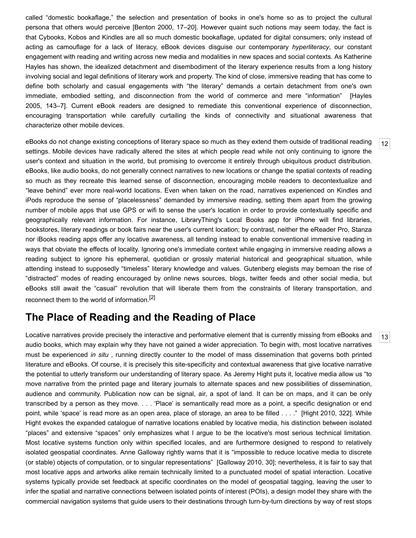called "domestic bookaflage," the selection and presentation of books in one's home so as to project the cultural persona that others would perceive [[Benton 2000](#page-12-7), 17–20]. However quaint such notions may seem today, the fact is that Cybooks, Kobos and Kindles are all so much domestic bookaflage, updated for digital consumers; only instead of acting as camouflage for a lack of literacy, eBook devices disguise our contemporary *hyperliteracy*, our constant engagement with reading and writing across new media and modalities in new spaces and social contexts. As Katherine Hayles has shown, the idealized detachment and disembodiment of the literary experience results from a long history involving social and legal definitions of literary work and property. The kind of close, immersive reading that has come to define both scholarly and casual engagements with "the literary" demands a certain detachment from one's own [immediate, embodied setting, and disconnection from the world of commerce and mere "information" \[Hayles](#page-13-12) 2005, 143–7]. Current eBook readers are designed to remediate this conventional experience of disconnection, encouraging transportation while carefully curtailing the kinds of connectivity and situational awareness that characterize other mobile devices.

[12](#page-4-0)

[13](#page-4-1)

<span id="page-4-0"></span>eBooks do not change existing conceptions of literary space so much as they extend them outside of traditional reading settings. Mobile devices have radically altered the sites at which people read while not only continuing to ignore the user's context and situation in the world, but promising to overcome it entirely through ubiquitous product distribution. eBooks, like audio books, do not generally connect narratives to new locations or change the spatial contexts of reading so much as they recreate this learned sense of disconnection, encouraging mobile readers to decontextualize and "leave behind" ever more real-world locations. Even when taken on the road, narratives experienced on Kindles and iPods reproduce the sense of "placelessness" demanded by immersive reading, setting them apart from the growing number of mobile apps that use GPS or wifi to sense the user's location in order to provide contextually specific and geographically relevant information. For instance, LibraryThing's Local Books app for iPhone will find libraries, bookstores, literary readings or book fairs near the user's current location; by contrast, neither the eReader Pro, Stanza nor iBooks reading apps offer any locative awareness, all tending instead to enable conventional immersive reading in ways that obviate the effects of locality. Ignoring one's immediate context while engaging in immersive reading allows a reading subject to ignore his ephemeral, quotidian or grossly material historical and geographical situation, while attending instead to supposedly "timeless" literary knowledge and values. Gutenberg elegists may bemoan the rise of "distracted" modes of reading encouraged by online news sources, blogs, twitter feeds and other social media, but eBooks still await the "casual" revolution that will liberate them from the constraints of literary transportation, and reconnect them to the world of information.[\[2\]](#page-12-8)

### **The Place of Reading and the Reading of Place**

<span id="page-4-1"></span>Locative narratives provide precisely the interactive and performative element that is currently missing from eBooks and audio books, which may explain why they have not gained a wider appreciation. To begin with, most locative narratives must be experienced *in situ* , running directly counter to the model of mass dissemination that governs both printed literature and eBooks. Of course, it is precisely this site-specificity and contextual awareness that give locative narrative the potential to utterly transform our understanding of literary space. As Jeremy Hight puts it, locative media allow us "to move narrative from the printed page and literary journals to alternate spaces and new possibilities of dissemination, audience and community. Publication now can be signal, air, a spot of land. It can be on maps, and it can be only transcribed by a person as they move. . . . 'Place' is semantically read more as a point, a specific designation or end point, while 'space' is read more as an open area, place of storage, an area to be filled . . . ." [\[Hight 2010](#page-13-13), 322]. While Hight evokes the expanded catalogue of narrative locations enabled by locative media, his distinction between isolated "places" and extensive "spaces" only emphasizes what I argue to be the locative's most serious technical limitation. Most locative systems function only within specified locales, and are furthermore designed to respond to relatively isolated geospatial coordinates. Anne Galloway rightly warns that it is "impossible to reduce locative media to discrete (or stable) objects of computation, or to singular representations" [[Galloway 2010](#page-12-9), 30]; nevertheless, it is fair to say that most locative apps and artworks alike remain technically limited to a punctuated model of spatial interaction. Locative systems typically provide set feedback at specific coordinates on the model of geospatial tagging, leaving the user to infer the spatial and narrative connections between isolated points of interest (POIs), a design model they share with the commercial navigation systems that guide users to their destinations through turn-by-turn directions by way of rest stops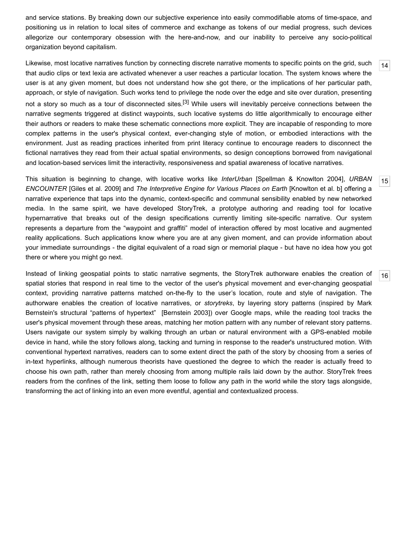and service stations. By breaking down our subjective experience into easily commodifiable atoms of time-space, and positioning us in relation to local sites of commerce and exchange as tokens of our medial progress, such devices allegorize our contemporary obsession with the here-and-now, and our inability to perceive any socio-political organization beyond capitalism.

<span id="page-5-0"></span>Likewise, most locative narratives function by connecting discrete narrative moments to specific points on the grid, such that audio clips or text lexia are activated whenever a user reaches a particular location. The system knows where the user is at any given moment, but does not understand how she got there, or the implications of her particular path, approach, or style of navigation. Such works tend to privilege the node over the edge and site over duration, presenting not a story so much as a tour of disconnected sites.<sup>[3]</sup> While users will inevitably perceive connections between the narrative segments triggered at distinct waypoints, such locative systems do little algorithmically to encourage either their authors or readers to make these schematic connections more explicit. They are incapable of responding to more complex patterns in the user's physical context, ever-changing style of motion, or embodied interactions with the environment. Just as reading practices inherited from print literacy continue to encourage readers to disconnect the fictional narratives they read from their actual spatial environments, so design conceptions borrowed from navigational and location-based services limit the interactivity, responsiveness and spatial awareness of locative narratives.

<span id="page-5-1"></span>This situation is beginning to change, with locative works like *InterUrban* [\[Spellman & Knowlton 2004](#page-14-0)], *URBAN ENCOUNTER* [\[Giles et al. 2009](#page-12-11)] and *The Interpretive Engine for Various Places on Earth* [[Knowlton et al. b](#page-13-14)] offering a narrative experience that taps into the dynamic, context-specific and communal sensibility enabled by new networked media. In the same spirit, we have developed StoryTrek, a prototype authoring and reading tool for locative hypernarrative that breaks out of the design specifications currently limiting site-specific narrative. Our system represents a departure from the "waypoint and graffiti" model of interaction offered by most locative and augmented reality applications. Such applications know where you are at any given moment, and can provide information about your immediate surroundings - the digital equivalent of a road sign or memorial plaque - but have no idea how you got there or where you might go next.

<span id="page-5-2"></span>Instead of linking geospatial points to static narrative segments, the StoryTrek authorware enables the creation of spatial stories that respond in real time to the vector of the user's physical movement and ever-changing geospatial context, providing narrative patterns matched on-the-fly to the user's location, route and style of navigation. The authorware enables the creation of locative narratives, or *storytreks*, by layering story patterns (inspired by Mark Bernstein's structural "patterns of hypertext" [[Bernstein 2003\]](#page-12-12)) over Google maps, while the reading tool tracks the user's physical movement through these areas, matching her motion pattern with any number of relevant story patterns. Users navigate our system simply by walking through an urban or natural environment with a GPS-enabled mobile device in hand, while the story follows along, tacking and turning in response to the reader's unstructured motion. With conventional hypertext narratives, readers can to some extent direct the path of the story by choosing from a series of in-text hyperlinks, although numerous theorists have questioned the degree to which the reader is actually freed to choose his own path, rather than merely choosing from among multiple rails laid down by the author. StoryTrek frees readers from the confines of the link, setting them loose to follow any path in the world while the story tags alongside, transforming the act of linking into an even more eventful, agential and contextualized process.

[16](#page-5-2)

[15](#page-5-1)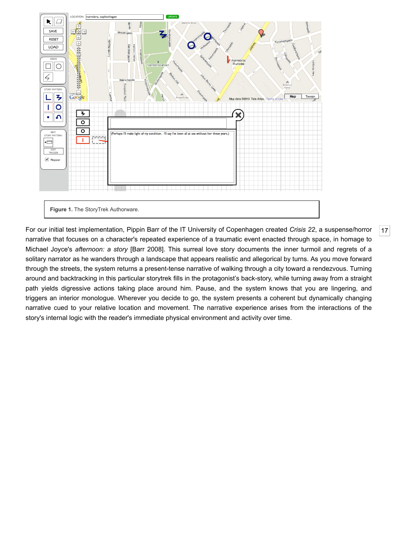

<span id="page-6-0"></span>For our initial test implementation, Pippin Barr of the IT University of Copenhagen created *Crisis 22*, a suspense/horror narrative that focuses on a character's repeated experience of a traumatic event enacted through space, in homage to Michael Joyce's *afternoon: a story* [[Barr 2008](#page-12-13)]. This surreal love story documents the inner turmoil and regrets of a solitary narrator as he wanders through a landscape that appears realistic and allegorical by turns. As you move forward through the streets, the system returns a present-tense narrative of walking through a city toward a rendezvous. Turning around and backtracking in this particular storytrek fills in the protagonist's back-story, while turning away from a straight path yields digressive actions taking place around him. Pause, and the system knows that you are lingering, and triggers an interior monologue. Wherever you decide to go, the system presents a coherent but dynamically changing narrative cued to your relative location and movement. The narrative experience arises from the interactions of the story's internal logic with the reader's immediate physical environment and activity over time.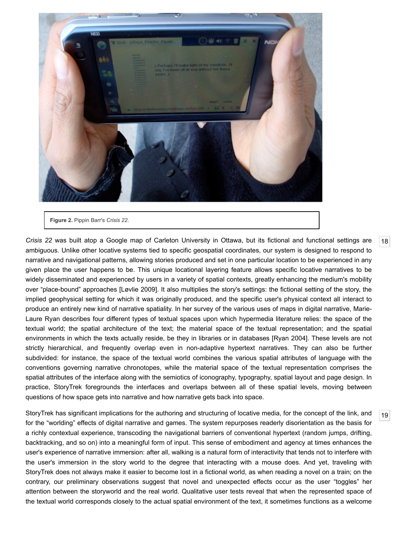

**Figure 2.** Pippin Barr's *Crisis 22*.

<span id="page-7-0"></span>*Crisis 22* was built atop a Google map of Carleton University in Ottawa, but its fictional and functional settings are ambiguous. Unlike other locative systems tied to specific geospatial coordinates, our system is designed to respond to narrative and navigational patterns, allowing stories produced and set in one particular location to be experienced in any given place the user happens to be. This unique locational layering feature allows specific locative narratives to be widely disseminated and experienced by users in a variety of spatial contexts, greatly enhancing the medium's mobility over "place-bound" approaches [\[Løvlie 2009](#page-13-2)]. It also multiplies the story's settings: the fictional setting of the story, the implied geophysical setting for which it was originally produced, and the specific user's physical context all interact to produce an entirely new kind of narrative spatiality. In her survey of the various uses of maps in digital narrative, Marie-Laure Ryan describes four different types of textual spaces upon which hypermedia literature relies: the space of the textual world; the spatial architecture of the text; the material space of the textual representation; and the spatial environments in which the texts actually reside, be they in libraries or in databases [[Ryan 2004](#page-13-15)]. These levels are not strictly hierarchical, and frequently overlap even in non-adaptive hypertext narratives. They can also be further subdivided: for instance, the space of the textual world combines the various spatial attributes of language with the conventions governing narrative chronotopes, while the material space of the textual representation comprises the spatial attributes of the interface along with the semiotics of iconography, typography, spatial layout and page design. In practice, StoryTrek foregrounds the interfaces and overlaps between all of these spatial levels, moving between questions of how space gets into narrative and how narrative gets back into space.

<span id="page-7-1"></span>StoryTrek has significant implications for the authoring and structuring of locative media, for the concept of the link, and for the "worlding" effects of digital narrative and games. The system repurposes readerly disorientation as the basis for a richly contextual experience, transcoding the navigational barriers of conventional hypertext (random jumps, drifting, backtracking, and so on) into a meaningful form of input. This sense of embodiment and agency at times enhances the user's experience of narrative immersion: after all, walking is a natural form of interactivity that tends not to interfere with the user's immersion in the story world to the degree that interacting with a mouse does. And yet, traveling with StoryTrek does not always make it easier to become lost in a fictional world, as when reading a novel on a train; on the contrary, our preliminary observations suggest that novel and unexpected effects occur as the user "toggles" her attention between the storyworld and the real world. Qualitative user tests reveal that when the represented space of the textual world corresponds closely to the actual spatial environment of the text, it sometimes functions as a welcome

[18](#page-7-0)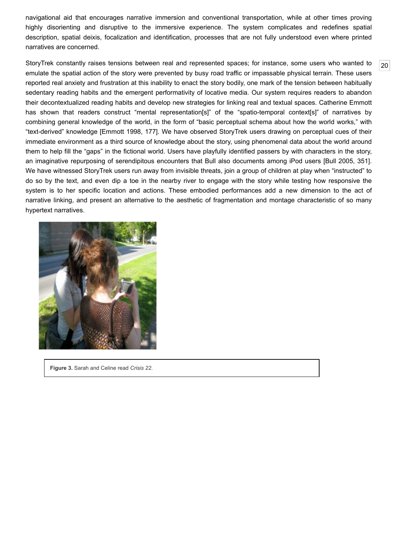navigational aid that encourages narrative immersion and conventional transportation, while at other times proving highly disorienting and disruptive to the immersive experience. The system complicates and redefines spatial description, spatial deixis, focalization and identification, processes that are not fully understood even where printed narratives are concerned.

[20](#page-8-0)

<span id="page-8-0"></span>StoryTrek constantly raises tensions between real and represented spaces; for instance, some users who wanted to emulate the spatial action of the story were prevented by busy road traffic or impassable physical terrain. These users reported real anxiety and frustration at this inability to enact the story bodily, one mark of the tension between habitually sedentary reading habits and the emergent performativity of locative media. Our system requires readers to abandon their decontextualized reading habits and develop new strategies for linking real and textual spaces. Catherine Emmott has shown that readers construct "mental representation[s]" of the "spatio-temporal context[s]" of narratives by combining general knowledge of the world, in the form of "basic perceptual schema about how the world works," with "text-derived" knowledge [[Emmott 1998](#page-12-14), 177]. We have observed StoryTrek users drawing on perceptual cues of their immediate environment as a third source of knowledge about the story, using phenomenal data about the world around them to help fill the "gaps" in the fictional world. Users have playfully identified passers by with characters in the story, an imaginative repurposing of serendipitous encounters that Bull also documents among iPod users [[Bull 2005,](#page-12-3) 351]. We have witnessed StoryTrek users run away from invisible threats, join a group of children at play when "instructed" to do so by the text, and even dip a toe in the nearby river to engage with the story while testing how responsive the system is to her specific location and actions. These embodied performances add a new dimension to the act of narrative linking, and present an alternative to the aesthetic of fragmentation and montage characteristic of so many hypertext narratives.



**Figure 3.** Sarah and Celine read *Crisis 22*.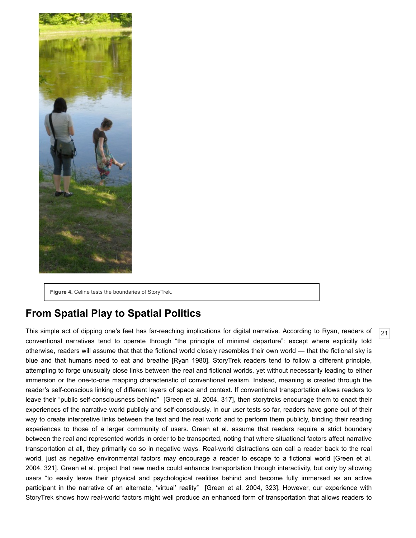

**Figure 4.** Celine tests the boundaries of StoryTrek.

## **From Spatial Play to Spatial Politics**

<span id="page-9-0"></span>This simple act of dipping one's feet has far-reaching implications for digital narrative. According to Ryan, readers of conventional narratives tend to operate through "the principle of minimal departure": except where explicitly told otherwise, readers will assume that that the fictional world closely resembles their own world — that the fictional sky is blue and that humans need to eat and breathe [[Ryan 1980\]](#page-13-16). StoryTrek readers tend to follow a different principle, attempting to forge unusually close links between the real and fictional worlds, yet without necessarily leading to either immersion or the one-to-one mapping characteristic of conventional realism. Instead, meaning is created through the reader's self-conscious linking of different layers of space and context. If conventional transportation allows readers to leave their "public self-consciousness behind" [\[Green et al. 2004,](#page-13-7) 317], then storytreks encourage them to enact their experiences of the narrative world publicly and self-consciously. In our user tests so far, readers have gone out of their way to create interpretive links between the text and the real world and to perform them publicly, binding their reading experiences to those of a larger community of users. Green et al. assume that readers require a strict boundary between the real and represented worlds in order to be transported, noting that where situational factors affect narrative transportation at all, they primarily do so in negative ways. Real-world distractions can call a reader back to the real [world, just as negative environmental factors may encourage a reader to escape to a fictional world \[Green et al.](#page-13-7) 2004, 321]. Green et al. project that new media could enhance transportation through interactivity, but only by allowing users "to easily leave their physical and psychological realities behind and become fully immersed as an active participant in the narrative of an alternate, 'virtual' reality" [\[Green et al. 2004,](#page-13-7) 323]. However, our experience with StoryTrek shows how real-world factors might well produce an enhanced form of transportation that allows readers to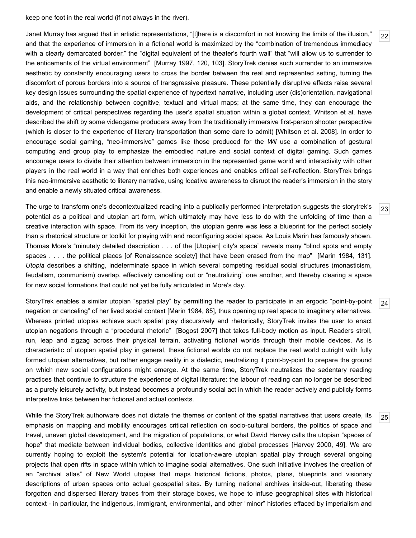keep one foot in the real world (if not always in the river).

<span id="page-10-0"></span>Janet Murray has argued that in artistic representations, "[t]here is a discomfort in not knowing the limits of the illusion," and that the experience of immersion in a fictional world is maximized by the "combination of tremendous immediacy with a clearly demarcated border," the "digital equivalent of the theater's fourth wall" that "will allow us to surrender to the enticements of the virtual environment" [[Murray 1997](#page-13-17), 120, 103]. StoryTrek denies such surrender to an immersive aesthetic by constantly encouraging users to cross the border between the real and represented setting, turning the discomfort of porous borders into a source of transgressive pleasure. These potentially disruptive effects raise several key design issues surrounding the spatial experience of hypertext narrative, including user (dis)orientation, navigational aids, and the relationship between cognitive, textual and virtual maps; at the same time, they can encourage the development of critical perspectives regarding the user's spatial situation within a global context. Whitson et al. have described the shift by some videogame producers away from the traditionally immersive first-person shooter perspective (which is closer to the experience of literary transportation than some dare to admit) [[Whitson et al. 2008](#page-14-1)]. In order to encourage social gaming, "neo-immersive" games like those produced for the *Wii* use a combination of gestural computing and group play to emphasize the embodied nature and social context of digital gaming. Such games encourage users to divide their attention between immersion in the represented game world and interactivity with other players in the real world in a way that enriches both experiences and enables critical self-reflection. StoryTrek brings this neo-immersive aesthetic to literary narrative, using locative awareness to disrupt the reader's immersion in the story and enable a newly situated critical awareness.

<span id="page-10-1"></span>The urge to transform one's decontextualized reading into a publically performed interpretation suggests the storytrek's potential as a political and utopian art form, which ultimately may have less to do with the unfolding of time than a creative interaction with space. From its very inception, the utopian genre was less a blueprint for the perfect society than a rhetorical structure or toolkit for playing with and reconfiguring social space. As Louis Marin has famously shown, Thomas More's "minutely detailed description . . . of the [Utopian] city's space" reveals many "blind spots and empty spaces . . . . the political places [of Renaissance society] that have been erased from the map" [\[Marin 1984](#page-13-18), 131]. *Utopia* describes a shifting, indeterminate space in which several competing residual social structures (monasticism, feudalism, communism) overlap, effectively cancelling out or "neutralizing" one another, and thereby clearing a space for new social formations that could not yet be fully articulated in More's day.

<span id="page-10-2"></span>StoryTrek enables a similar utopian "spatial play" by permitting the reader to participate in an ergodic "point-by-point negation or canceling" of her lived social context [\[Marin 1984](#page-13-18), 85], thus opening up real space to imaginary alternatives. Whereas printed utopias achieve such spatial play discursively and rhetorically, StoryTrek invites the user to enact utopian negations through a "procedural rhetoric" [\[Bogost 2007](#page-12-15)] that takes full-body motion as input. Readers stroll, run, leap and zigzag across their physical terrain, activating fictional worlds through their mobile devices. As is characteristic of utopian spatial play in general, these fictional worlds do not replace the real world outright with fully formed utopian alternatives, but rather engage reality in a dialectic, neutralizing it point-by-point to prepare the ground on which new social configurations might emerge. At the same time, StoryTrek neutralizes the sedentary reading practices that continue to structure the experience of digital literature: the labour of reading can no longer be described as a purely leisurely activity, but instead becomes a profoundly social act in which the reader actively and publicly forms interpretive links between her fictional and actual contexts.

<span id="page-10-3"></span>While the StoryTrek authorware does not dictate the themes or content of the spatial narratives that users create, its emphasis on mapping and mobility encourages critical reflection on socio-cultural borders, the politics of space and travel, uneven global development, and the migration of populations, or what David Harvey calls the utopian "spaces of hope" that mediate between individual bodies, collective identities and global processes [[Harvey 2000,](#page-13-19) 49]. We are currently hoping to exploit the system's potential for location-aware utopian spatial play through several ongoing projects that open rifts in space within which to imagine social alternatives. One such initiative involves the creation of an "archival atlas" of New World utopias that maps historical fictions, photos, plans, blueprints and visionary descriptions of urban spaces onto actual geospatial sites. By turning national archives inside-out, liberating these forgotten and dispersed literary traces from their storage boxes, we hope to infuse geographical sites with historical context - in particular, the indigenous, immigrant, environmental, and other "minor" histories effaced by imperialism and

[24](#page-10-2)

[25](#page-10-3)

[23](#page-10-1)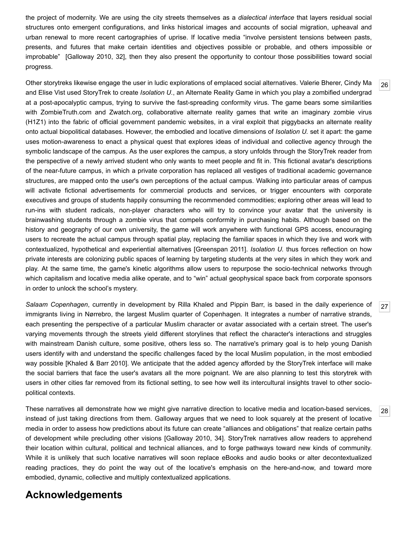the project of modernity. We are using the city streets themselves as a *dialectical interface* that layers residual social structures onto emergent configurations, and links historical images and accounts of social migration, upheaval and urban renewal to more recent cartographies of uprise. If locative media "involve persistent tensions between pasts, presents, and futures that make certain identities and objectives possible or probable, and others impossible or improbable" [\[Galloway 2010,](#page-12-9) 32], then they also present the opportunity to contour those possibilities toward social progress.

<span id="page-11-0"></span>Other storytreks likewise engage the user in ludic explorations of emplaced social alternatives. Valerie Bherer, Cindy Ma and Elise Vist used StoryTrek to create *Isolation U.*, an Alternate Reality Game in which you play a zombified undergrad at a post-apocalyptic campus, trying to survive the fast-spreading conformity virus. The game bears some similarities with ZombieTruth.com and Zwatch.org, collaborative alternate reality games that write an imaginary zombie virus (H1Z1) into the fabric of official government pandemic websites, in a viral exploit that piggybacks an alternate reality onto actual biopolitical databases. However, the embodied and locative dimensions of *Isolation U.* set it apart: the game uses motion-awareness to enact a physical quest that explores ideas of individual and collective agency through the symbolic landscape of the campus. As the user explores the campus, a story unfolds through the StoryTrek reader from the perspective of a newly arrived student who only wants to meet people and fit in. This fictional avatar's descriptions of the near-future campus, in which a private corporation has replaced all vestiges of traditional academic governance structures, are mapped onto the user's own perceptions of the actual campus. Walking into particular areas of campus will activate fictional advertisements for commercial products and services, or trigger encounters with corporate executives and groups of students happily consuming the recommended commodities; exploring other areas will lead to run-ins with student radicals, non-player characters who will try to convince your avatar that the university is brainwashing students through a zombie virus that compels conformity in purchasing habits. Although based on the history and geography of our own university, the game will work anywhere with functional GPS access, encouraging users to recreate the actual campus through spatial play, replacing the familiar spaces in which they live and work with contextualized, hypothetical and experiential alternatives [\[Greenspan 2011\]](#page-13-20). *Isolation U.* thus forces reflection on how private interests are colonizing public spaces of learning by targeting students at the very sites in which they work and play. At the same time, the game's kinetic algorithms allow users to repurpose the socio-technical networks through which capitalism and locative media alike operate, and to "win" actual geophysical space back from corporate sponsors in order to unlock the school's mystery.

<span id="page-11-1"></span>*Salaam Copenhagen*, currently in development by Rilla Khaled and Pippin Barr, is based in the daily experience of immigrants living in Nørrebro, the largest Muslim quarter of Copenhagen. It integrates a number of narrative strands, each presenting the perspective of a particular Muslim character or avatar associated with a certain street. The user's varying movements through the streets yield different storylines that reflect the character's interactions and struggles with mainstream Danish culture, some positive, others less so. The narrative's primary goal is to help young Danish users identify with and understand the specific challenges faced by the local Muslim population, in the most embodied way possible [\[Khaled & Barr 2010\]](#page-13-21). We anticipate that the added agency afforded by the StoryTrek interface will make the social barriers that face the user's avatars all the more poignant. We are also planning to test this storytrek with users in other cities far removed from its fictional setting, to see how well its intercultural insights travel to other sociopolitical contexts.

<span id="page-11-2"></span>These narratives all demonstrate how we might give narrative direction to locative media and location-based services, instead of just taking directions from them. Galloway argues that we need to look squarely at the present of locative media in order to assess how predictions about its future can create "alliances and obligations" that realize certain paths of development while precluding other visions [[Galloway 2010](#page-12-9), 34]. StoryTrek narratives allow readers to apprehend their location within cultural, political and technical alliances, and to forge pathways toward new kinds of community. While it is unlikely that such locative narratives will soon replace eBooks and audio books or alter decontextualized reading practices, they do point the way out of the locative's emphasis on the here-and-now, and toward more embodied, dynamic, collective and multiply contextualized applications.

### **Acknowledgements**

[27](#page-11-1)

[28](#page-11-2)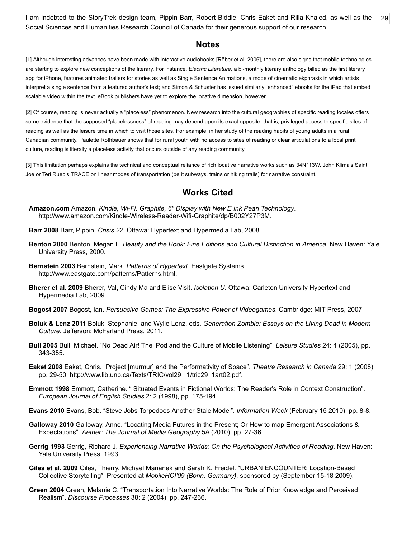<span id="page-12-16"></span>I am indebted to the StoryTrek design team, Pippin Barr, Robert Biddle, Chris Eaket and Rilla Khaled, as well as the [29](#page-12-16) Social Sciences and Humanities Research Council of Canada for their generous support of our research.

#### **Notes**

<span id="page-12-4"></span>[1] Although interesting advances have been made with interactive audiobooks [[Röber et al. 2006\]](#page-14-2), there are also signs that mobile technologies are starting to explore new conceptions of the literary. For instance, *Electric Literature*, a bi-monthly literary anthology billed as the first literary app for iPhone, features animated trailers for stories as well as Single Sentence Animations, a mode of cinematic ekphrasis in which artists interpret a single sentence from a featured author's text; and Simon & Schuster has issued similarly "enhanced" ebooks for the iPad that embed scalable video within the text. eBook publishers have yet to explore the locative dimension, however.

<span id="page-12-8"></span>[2] Of course, reading is never actually a "placeless" phenomenon. New research into the cultural geographies of specific reading locales offers some evidence that the supposed "placelessness" of reading may depend upon its exact opposite: that is, privileged access to specific sites of reading as well as the leisure time in which to visit those sites. For example, in her study of the reading habits of young adults in a rural Canadian community, Paulette Rothbauer shows that for rural youth with no access to sites of reading or clear articulations to a local print culture, reading is literally a placeless activity that occurs outside of any reading community.

<span id="page-12-10"></span>[3] This limitation perhaps explains the technical and conceptual reliance of rich locative narrative works such as 34N113W, John Klima's Saint Joe or Teri Rueb's TRACE on linear modes of transportation (be it subways, trains or hiking trails) for narrative constraint.

#### **Works Cited**

<span id="page-12-6"></span>**Amazon.com** Amazon. *Kindle, Wi-Fi, Graphite, 6" Display with New E Ink Pearl Technology*. <http://www.amazon.com/Kindle-Wireless-Reader-Wifi-Graphite/dp/B002Y27P3M>.

<span id="page-12-13"></span>**Barr 2008** Barr, Pippin. *Crisis 22*. Ottawa: Hypertext and Hypermedia Lab, 2008.

- <span id="page-12-7"></span>**Benton 2000** Benton, Megan L. *Beauty and the Book: Fine Editions and Cultural Distinction in America*. New Haven: Yale University Press, 2000.
- <span id="page-12-12"></span>**Bernstein 2003** Bernstein, Mark. *Patterns of Hypertext*. Eastgate Systems. <http://www.eastgate.com/patterns/Patterns.html>.
- **Bherer et al. 2009** Bherer, Val, Cindy Ma and Elise Visit. *Isolation U*. Ottawa: Carleton University Hypertext and Hypermedia Lab, 2009.
- <span id="page-12-15"></span>**Bogost 2007** Bogost, Ian. *Persuasive Games: The Expressive Power of Videogames*. Cambridge: MIT Press, 2007.
- **Boluk & Lenz 2011** Boluk, Stephanie, and Wylie Lenz, eds. *Generation Zombie: Essays on the Living Dead in Modern Culture*. Jefferson: McFarland Press, 2011.
- <span id="page-12-3"></span>**Bull 2005** Bull, Michael. "No Dead Air! The iPod and the Culture of Mobile Listening". *Leisure Studies* 24: 4 (2005), pp. 343-355.
- <span id="page-12-0"></span>**Eaket 2008** Eaket, Chris. "Project [murmur] and the Performativity of Space". *Theatre Research in Canada* 29: 1 (2008), pp. 29-50. [http://www.lib.unb.ca/Texts/TRIC/vol29 \\_1/tric29\\_1art02.pdf.](http://www.lib.unb.ca/Texts/TRIC/vol29%20_1/tric29_1art02.pdf)
- <span id="page-12-14"></span>**Emmott 1998** Emmott, Catherine. " Situated Events in Fictional Worlds: The Reader's Role in Context Construction". *European Journal of English Studies* 2: 2 (1998), pp. 175-194.
- <span id="page-12-5"></span>**Evans 2010** Evans, Bob. "Steve Jobs Torpedoes Another Stale Model". *Information Week* (February 15 2010), pp. 8-8.
- <span id="page-12-9"></span>**Galloway 2010** Galloway, Anne. "Locating Media Futures in the Present; Or How to map Emergent Associations & Expectations". *Aether: The Journal of Media Geography* 5A (2010), pp. 27-36.
- <span id="page-12-1"></span>**Gerrig 1993** Gerrig, Richard J. *Experiencing Narrative Worlds: On the Psychological Activities of Reading*. New Haven: Yale University Press, 1993.
- <span id="page-12-11"></span>**Giles et al. 2009** Giles, Thierry, Michael Marianek and Sarah K. Freidel. "URBAN ENCOUNTER: Location-Based Collective Storytelling". Presented at *MobileHCI'09 (Bonn, Germany)*, sponsored by (September 15-18 2009).
- <span id="page-12-2"></span>**Green 2004** Green, Melanie C. "Transportation Into Narrative Worlds: The Role of Prior Knowledge and Perceived Realism". *Discourse Processes* 38: 2 (2004), pp. 247-266.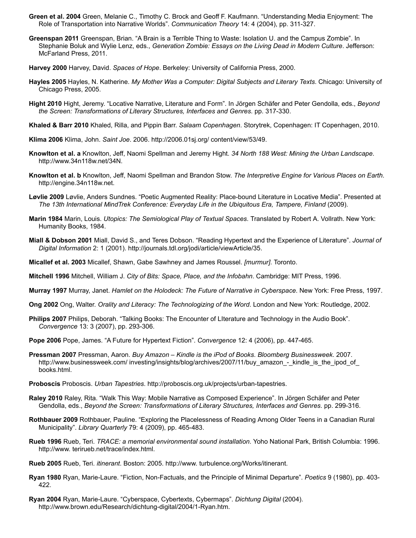- <span id="page-13-7"></span>**Green et al. 2004** Green, Melanie C., Timothy C. Brock and Geoff F. Kaufmann. "Understanding Media Enjoyment: The Role of Transportation into Narrative Worlds". *Communication Theory* 14: 4 (2004), pp. 311-327.
- <span id="page-13-20"></span>**Greenspan 2011** Greenspan, Brian. "A Brain is a Terrible Thing to Waste: Isolation U. and the Campus Zombie". In Stephanie Boluk and Wylie Lenz, eds., *Generation Zombie: Essays on the Living Dead in Modern Culture*. Jefferson: McFarland Press, 2011.
- <span id="page-13-19"></span>**Harvey 2000** Harvey, David. *Spaces of Hope*. Berkeley: University of California Press, 2000.
- <span id="page-13-12"></span>**Hayles 2005** Hayles, N. Katherine. *My Mother Was a Computer: Digital Subjects and Literary Texts*. Chicago: University of Chicago Press, 2005.
- <span id="page-13-13"></span>**Hight 2010** Hight, Jeremy. "Locative Narrative, Literature and Form". In Jörgen Schäfer and Peter Gendolla, eds., *Beyond the Screen: Transformations of Literary Structures, Interfaces and Genres*. pp. 317-330.
- <span id="page-13-21"></span>**Khaled & Barr 2010** Khaled, Rilla, and Pippin Barr. *Salaam Copenhagen*. Storytrek, Copenhagen: IT Copenhagen, 2010.
- **Klima 2006** Klima, John. *Saint Joe*. 2006. [http://2006.01sj.org/ content/view/53/49](http://2006.01sj.org/%20content/view/53/49).
- <span id="page-13-3"></span>**Knowlton et al. a** Knowlton, Jeff, Naomi Spellman and Jeremy Hight. *34 North 188 West: Mining the Urban Landscape*. [http://www.34n118w.net/34N.](http://www.34n118w.net/34N)
- <span id="page-13-14"></span>**Knowlton et al. b** Knowlton, Jeff, Naomi Spellman and Brandon Stow. *The Interpretive Engine for Various Places on Earth*. [http://engine.34n118w.net](http://engine.34n118w.net/).
- <span id="page-13-2"></span>**Løvlie 2009** Løvlie, Anders Sundnes. "Poetic Augmented Reality: Place-bound Literature in Locative Media". Presented at *The 13th International MindTrek Conference: Everyday Life in the Ubiquitous Era, Tampere, Finland* (2009).
- <span id="page-13-18"></span>**Marin 1984** Marin, Louis. *Utopics: The Semiological Play of Textual Spaces*. Translated by Robert A. Vollrath. New York: Humanity Books, 1984.
- <span id="page-13-5"></span>**Miall & Dobson 2001** Miall, David S., and Teres Dobson. "Reading Hypertext and the Experience of Literature". *Journal of Digital Information* 2: 1 (2001). <http://journals.tdl.org/jodi/article/viewArticle/35>.
- <span id="page-13-1"></span>**Micallef et al. 2003** Micallef, Shawn, Gabe Sawhney and James Roussel. *[murmur]*. Toronto.
- <span id="page-13-11"></span>**Mitchell 1996** Mitchell, William J. *City of Bits: Space, Place, and the Infobahn*. Cambridge: MIT Press, 1996.
- <span id="page-13-17"></span>**Murray 1997** Murray, Janet. *Hamlet on the Holodeck: The Future of Narrative in Cyberspace*. New York: Free Press, 1997.
- <span id="page-13-8"></span>**Ong 2002** Ong, Walter. *Orality and Literacy: The Technologizing of the Word*. London and New York: Routledge, 2002.
- <span id="page-13-9"></span>**Philips 2007** Philips, Deborah. "Talking Books: The Encounter of LIterature and Technology in the Audio Book". *Convergence* 13: 3 (2007), pp. 293-306.
- <span id="page-13-6"></span>**Pope 2006** Pope, James. "A Future for Hypertext Fiction". *Convergence* 12: 4 (2006), pp. 447-465.
- <span id="page-13-10"></span>**Pressman 2007** Pressman, Aaron. *Buy Amazon – Kindle is the iPod of Books*. *Bloomberg Businessweek*. 2007. http://www.businessweek.com/ investing/insights/blog/archives/2007/11/buy\_amazon -\_kindle\_is\_the\_ipod\_of books.html.
- <span id="page-13-0"></span>**Proboscis** Proboscis. *Urban Tapestries*. [http://proboscis.org.uk/projects/urban-tapestries.](http://proboscis.org.uk/projects/urban-tapestries)
- <span id="page-13-4"></span>**Raley 2010** Raley, Rita. "Walk This Way: Mobile Narrative as Composed Experience". In Jörgen Schäfer and Peter Gendolla, eds., *Beyond the Screen: Transformations of Literary Structures, Interfaces and Genres*. pp. 299-316.
- **Rothbauer 2009** Rothbauer, Pauline. "Exploring the Placelessness of Reading Among Older Teens in a Canadian Rural Municipality". *Library Quarterly* 79: 4 (2009), pp. 465-483.
- **Rueb 1996** Rueb, Teri. *TRACE: a memorial environmental sound installation*. Yoho National Park, British Columbia: 1996. [http://www. terirueb.net/trace/index.html.](http://www.%20terirueb.net/trace/index.html)
- **Rueb 2005** Rueb, Teri. *itinerant*. Boston: 2005. [http://www. turbulence.org/Works/itinerant](http://www.%20turbulence.org/Works/itinerant).
- <span id="page-13-16"></span>**Ryan 1980** Ryan, Marie-Laure. "Fiction, Non-Factuals, and the Principle of Minimal Departure". *Poetics* 9 (1980), pp. 403- 422.
- <span id="page-13-15"></span>**Ryan 2004** Ryan, Marie-Laure. "Cyberspace, Cybertexts, Cybermaps". *Dichtung Digital* (2004). <http://www.brown.edu/Research/dichtung-digital/2004/1-Ryan.htm>.